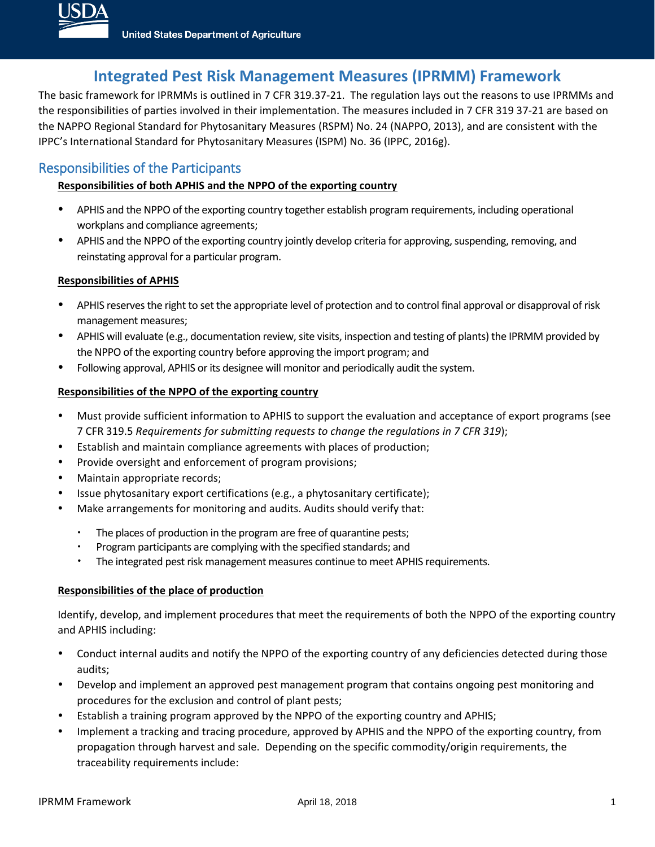

## **Integrated Pest Risk Management Measures (IPRMM) Framework**

The basic framework for IPRMMs is outlined in 7 CFR 319.37-21. The regulation lays out the reasons to use IPRMMs and the responsibilities of parties involved in their implementation. The measures included in 7 CFR 319 37-21 are based on the NAPPO Regional Standard for Phytosanitary Measures (RSPM) No. 24 (NAPPO, 2013), and are consistent with the IPPC's International Standard for Phytosanitary Measures (ISPM) No. 36 (IPPC, 2016g).

### Responsibilities of the Participants

#### **Responsibilities of both APHIS and the NPPO of the exporting country**

- APHIS and the NPPO of the exporting country together establish program requirements, including operational workplans and compliance agreements;
- APHIS and the NPPO of the exporting country jointly develop criteria for approving, suspending, removing, and reinstating approval for a particular program.

#### **Responsibilities of APHIS**

- APHIS reserves the right to set the appropriate level of protection and to control final approval or disapproval of risk management measures;
- APHIS will evaluate (e.g., documentation review, site visits, inspection and testing of plants) the IPRMM provided by the NPPO of the exporting country before approving the import program; and
- Following approval, APHIS or its designee will monitor and periodically audit the system.

#### **Responsibilities of the NPPO of the exporting country**

- Must provide sufficient information to APHIS to support the evaluation and acceptance of export programs (see 7 CFR 319.5 *Requirements for submitting requests to change the regulations in 7 CFR 319*);
- Establish and maintain compliance agreements with places of production;
- Provide oversight and enforcement of program provisions;
- Maintain appropriate records;
- Issue phytosanitary export certifications (e.g., a phytosanitary certificate);
- Make arrangements for monitoring and audits. Audits should verify that:
	- The places of production in the program are free of quarantine pests;
	- Program participants are complying with the specified standards; and
	- The integrated pest risk management measures continue to meet APHIS requirements.

#### **Responsibilities of the place of production**

Identify, develop, and implement procedures that meet the requirements of both the NPPO of the exporting country and APHIS including:

- Conduct internal audits and notify the NPPO of the exporting country of any deficiencies detected during those audits;
- Develop and implement an approved pest management program that contains ongoing pest monitoring and procedures for the exclusion and control of plant pests;
- Establish a training program approved by the NPPO of the exporting country and APHIS;
- Implement a tracking and tracing procedure, approved by APHIS and the NPPO of the exporting country, from propagation through harvest and sale. Depending on the specific commodity/origin requirements, the traceability requirements include: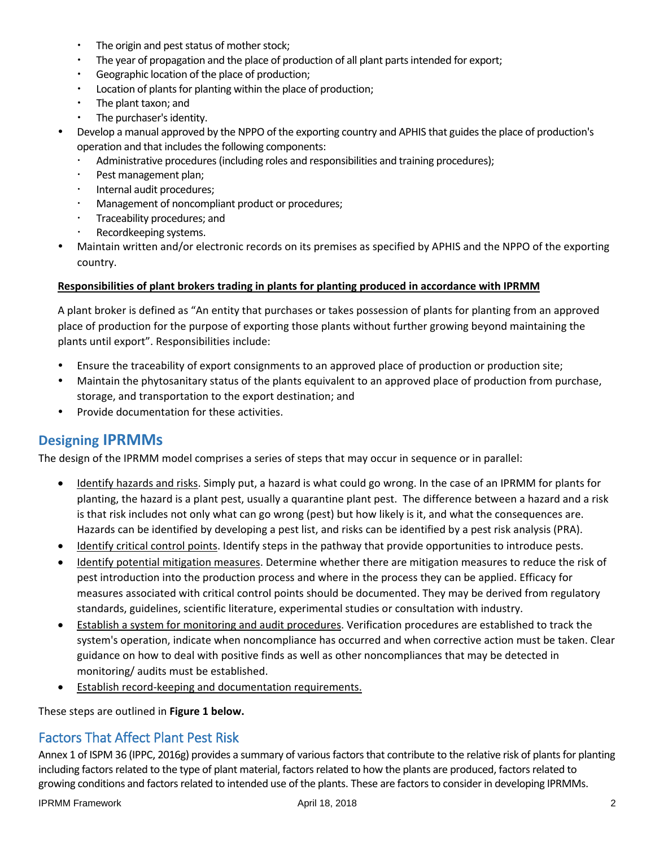- The origin and pest status of mother stock;
- The year of propagation and the place of production of all plant parts intended for export;
- Geographic location of the place of production;
- Location of plants for planting within the place of production;
- The plant taxon; and
- The purchaser's identity.
- Develop a manual approved by the NPPO of the exporting country and APHIS that guides the place of production's operation and that includes the following components:
	- Administrative procedures (including roles and responsibilities and training procedures);
	- Pest management plan;
	- · Internal audit procedures;
	- Management of noncompliant product or procedures;
	- Traceability procedures; and
	- Recordkeeping systems.
- Maintain written and/or electronic records on its premises as specified by APHIS and the NPPO of the exporting country.

#### **Responsibilities of plant brokers trading in plants for planting produced in accordance with IPRMM**

A plant broker is defined as "An entity that purchases or takes possession of plants for planting from an approved place of production for the purpose of exporting those plants without further growing beyond maintaining the plants until export". Responsibilities include:

- Ensure the traceability of export consignments to an approved place of production or production site;
- Maintain the phytosanitary status of the plants equivalent to an approved place of production from purchase, storage, and transportation to the export destination; and
- Provide documentation for these activities.

### **Designing IPRMMs**

The design of the IPRMM model comprises a series of steps that may occur in sequence or in parallel:

- Identify hazards and risks. Simply put, a hazard is what could go wrong. In the case of an IPRMM for plants for planting, the hazard is a plant pest, usually a quarantine plant pest. The difference between a hazard and a risk is that risk includes not only what can go wrong (pest) but how likely is it, and what the consequences are. Hazards can be identified by developing a pest list, and risks can be identified by a pest risk analysis (PRA).
- Identify critical control points. Identify steps in the pathway that provide opportunities to introduce pests.
- Identify potential mitigation measures. Determine whether there are mitigation measures to reduce the risk of pest introduction into the production process and where in the process they can be applied. Efficacy for measures associated with critical control points should be documented. They may be derived from regulatory standards, guidelines, scientific literature, experimental studies or consultation with industry.
- Establish a system for monitoring and audit procedures. Verification procedures are established to track the system's operation, indicate when noncompliance has occurred and when corrective action must be taken. Clear guidance on how to deal with positive finds as well as other noncompliances that may be detected in monitoring/ audits must be established.
- **Establish record-keeping and documentation requirements.**

These steps are outlined in **Figure 1 below.**

### Factors That Affect Plant Pest Risk

Annex 1 of ISPM 36 (IPPC, 2016g) provides a summary of various factors that contribute to the relative risk of plants for planting including factors related to the type of plant material, factors related to how the plants are produced, factors related to growing conditions and factors related to intended use of the plants. These are factors to consider in developing IPRMMs.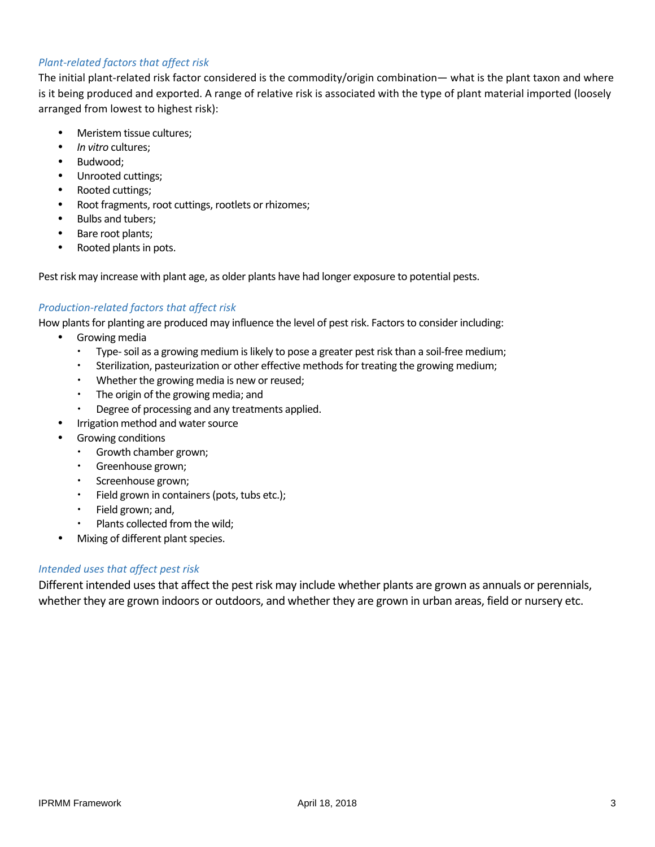#### *Plant-related factors that affect risk*

The initial plant-related risk factor considered is the commodity/origin combination— what is the plant taxon and where is it being produced and exported. A range of relative risk is associated with the type of plant material imported (loosely arranged from lowest to highest risk):

- Meristem tissue cultures;
- *In vitro* cultures;
- Budwood;
- Unrooted cuttings;
- Rooted cuttings;
- Root fragments, root cuttings, rootlets or rhizomes;
- Bulbs and tubers;
- Bare root plants;
- Rooted plants in pots.

Pest risk may increase with plant age, as older plants have had longer exposure to potential pests.

#### *Production-related factors that affect risk*

How plants for planting are produced may influence the level of pest risk. Factors to consider including:

- Growing media
	- Type- soil as a growing medium is likely to pose a greater pest risk than a soil-free medium;
	- Sterilization, pasteurization or other effective methods for treating the growing medium;
	- Whether the growing media is new or reused;
	- The origin of the growing media; and
	- Degree of processing and any treatments applied.
	- Irrigation method and water source
	- Growing conditions
		- Growth chamber grown;
		- Greenhouse grown;
		- Screenhouse grown;
		- Field grown in containers (pots, tubs etc.);
		- $\cdot$  Field grown; and,
		- Plants collected from the wild;
- Mixing of different plant species.

#### *Intended uses that affect pest risk*

Different intended uses that affect the pest risk may include whether plants are grown as annuals or perennials, whether they are grown indoors or outdoors, and whether they are grown in urban areas, field or nursery etc.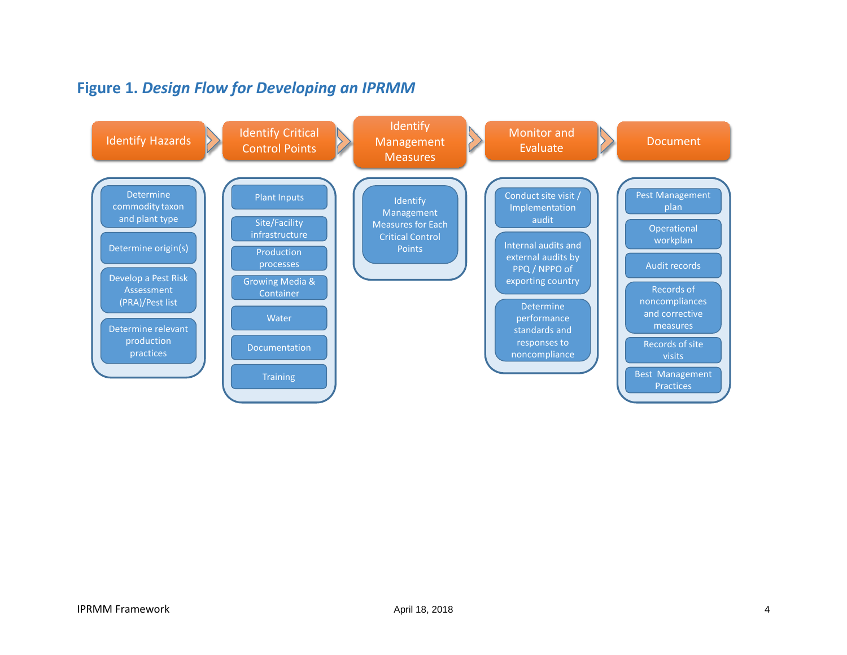# **Figure 1.** *Design Flow for Developing an IPRMM*

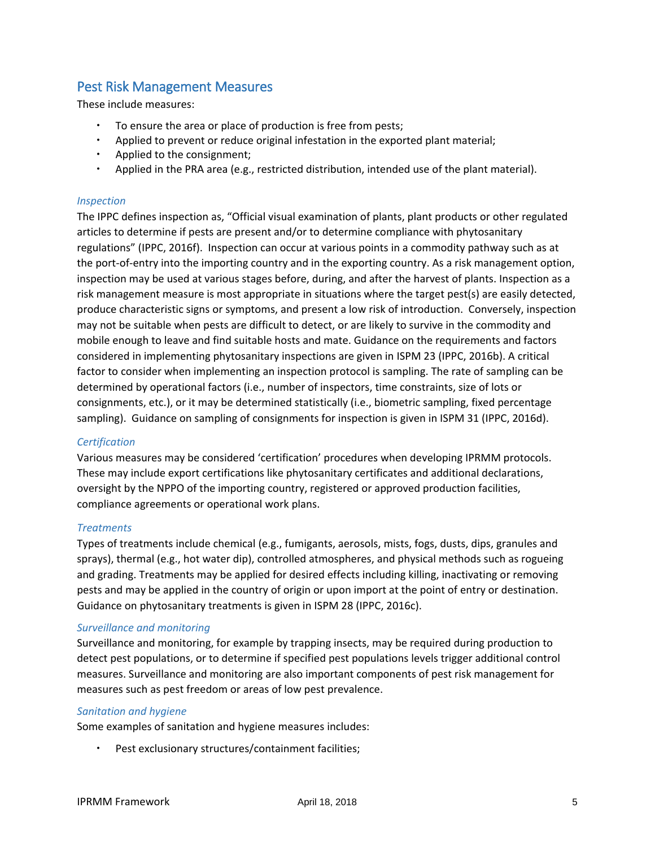### Pest Risk Management Measures

These include measures:

- To ensure the area or place of production is free from pests;
- Applied to prevent or reduce original infestation in the exported plant material;
- $\cdot$  Applied to the consignment;
- Applied in the PRA area (e.g., restricted distribution, intended use of the plant material).

#### *Inspection*

The IPPC defines inspection as, "Official visual examination of plants, plant products or other regulated articles to determine if pests are present and/or to determine compliance with phytosanitary regulations" (IPPC, 2016f). Inspection can occur at various points in a commodity pathway such as at the port-of-entry into the importing country and in the exporting country. As a risk management option, inspection may be used at various stages before, during, and after the harvest of plants. Inspection as a risk management measure is most appropriate in situations where the target pest(s) are easily detected, produce characteristic signs or symptoms, and present a low risk of introduction. Conversely, inspection may not be suitable when pests are difficult to detect, or are likely to survive in the commodity and mobile enough to leave and find suitable hosts and mate. Guidance on the requirements and factors considered in implementing phytosanitary inspections are given in ISPM 23 (IPPC, 2016b). A critical factor to consider when implementing an inspection protocol is sampling. The rate of sampling can be determined by operational factors (i.e., number of inspectors, time constraints, size of lots or consignments, etc.), or it may be determined statistically (i.e., biometric sampling, fixed percentage sampling). Guidance on sampling of consignments for inspection is given in ISPM 31 (IPPC, 2016d).

#### *Certification*

Various measures may be considered 'certification' procedures when developing IPRMM protocols. These may include export certifications like phytosanitary certificates and additional declarations, oversight by the NPPO of the importing country, registered or approved production facilities, compliance agreements or operational work plans.

#### *Treatments*

Types of treatments include chemical (e.g., fumigants, aerosols, mists, fogs, dusts, dips, granules and sprays), thermal (e.g., hot water dip), controlled atmospheres, and physical methods such as rogueing and grading. Treatments may be applied for desired effects including killing, inactivating or removing pests and may be applied in the country of origin or upon import at the point of entry or destination. Guidance on phytosanitary treatments is given in ISPM 28 (IPPC, 2016c).

#### *Surveillance and monitoring*

Surveillance and monitoring, for example by trapping insects, may be required during production to detect pest populations, or to determine if specified pest populations levels trigger additional control measures. Surveillance and monitoring are also important components of pest risk management for measures such as pest freedom or areas of low pest prevalence.

#### *Sanitation and hygiene*

Some examples of sanitation and hygiene measures includes:

Pest exclusionary structures/containment facilities;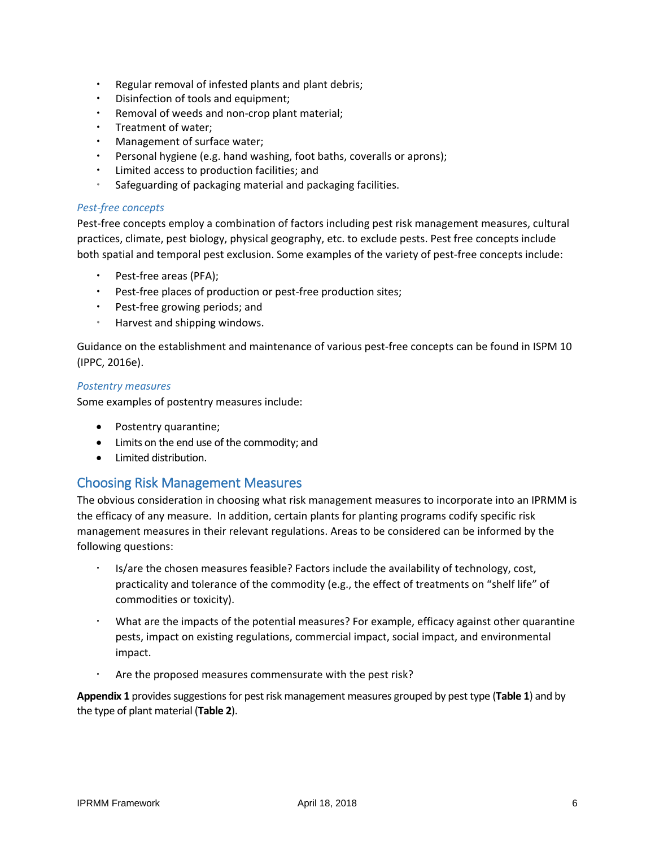- Regular removal of infested plants and plant debris;
- Disinfection of tools and equipment;
- Removal of weeds and non-crop plant material;
- Treatment of water;
- Management of surface water;
- Personal hygiene (e.g. hand washing, foot baths, coveralls or aprons);
- Limited access to production facilities; and
- Safeguarding of packaging material and packaging facilities.

#### *Pest-free concepts*

Pest-free concepts employ a combination of factors including pest risk management measures, cultural practices, climate, pest biology, physical geography, etc. to exclude pests. Pest free concepts include both spatial and temporal pest exclusion. Some examples of the variety of pest-free concepts include:

- Pest-free areas (PFA);
- Pest-free places of production or pest-free production sites;
- Pest-free growing periods; and
- Harvest and shipping windows.

Guidance on the establishment and maintenance of various pest-free concepts can be found in ISPM 10 (IPPC, 2016e).

#### *Postentry measures*

Some examples of postentry measures include:

- Postentry quarantine;
- Limits on the end use of the commodity; and
- Limited distribution.

#### Choosing Risk Management Measures

The obvious consideration in choosing what risk management measures to incorporate into an IPRMM is the efficacy of any measure. In addition, certain plants for planting programs codify specific risk management measures in their relevant regulations. Areas to be considered can be informed by the following questions:

- Is/are the chosen measures feasible? Factors include the availability of technology, cost, practicality and tolerance of the commodity (e.g., the effect of treatments on "shelf life" of commodities or toxicity).
- What are the impacts of the potential measures? For example, efficacy against other quarantine pests, impact on existing regulations, commercial impact, social impact, and environmental impact.
- Are the proposed measures commensurate with the pest risk?

**Appendix 1** provides suggestions for pest risk management measures grouped by pest type (**Table 1**) and by the type of plant material (**Table 2**).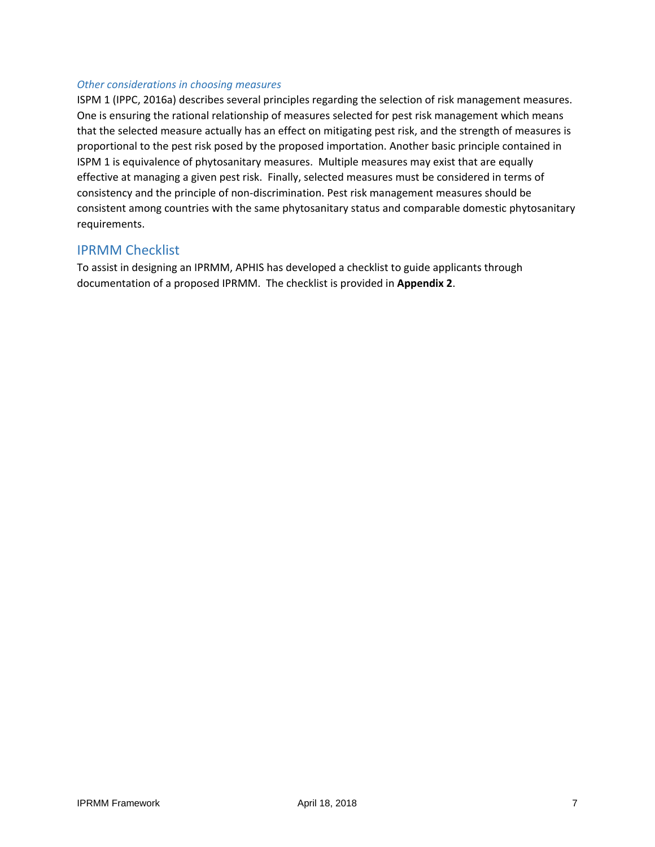#### *Other considerations in choosing measures*

ISPM 1 (IPPC, 2016a) describes several principles regarding the selection of risk management measures. One is ensuring the rational relationship of measures selected for pest risk management which means that the selected measure actually has an effect on mitigating pest risk, and the strength of measures is proportional to the pest risk posed by the proposed importation. Another basic principle contained in ISPM 1 is equivalence of phytosanitary measures. Multiple measures may exist that are equally effective at managing a given pest risk. Finally, selected measures must be considered in terms of consistency and the principle of non-discrimination. Pest risk management measures should be consistent among countries with the same phytosanitary status and comparable domestic phytosanitary requirements.

#### IPRMM Checklist

To assist in designing an IPRMM, APHIS has developed a checklist to guide applicants through documentation of a proposed IPRMM. The checklist is provided in **Appendix 2**.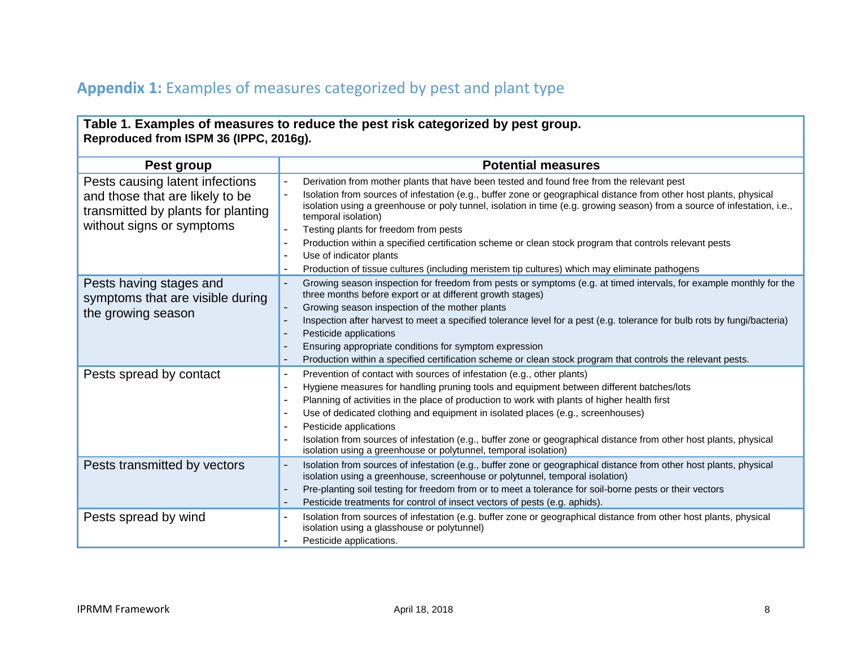# **Appendix 1:** Examples of measures categorized by pest and plant type

| Table 1. Examples of measures to reduce the pest risk categorized by pest group.<br>Reproduced from ISPM 36 (IPPC, 2016g).            |                                                                                                                                                                                                                                                                                                                                                                                                                                                                                                                                                                                                                                                                                                           |  |  |  |
|---------------------------------------------------------------------------------------------------------------------------------------|-----------------------------------------------------------------------------------------------------------------------------------------------------------------------------------------------------------------------------------------------------------------------------------------------------------------------------------------------------------------------------------------------------------------------------------------------------------------------------------------------------------------------------------------------------------------------------------------------------------------------------------------------------------------------------------------------------------|--|--|--|
| Pest group                                                                                                                            | <b>Potential measures</b>                                                                                                                                                                                                                                                                                                                                                                                                                                                                                                                                                                                                                                                                                 |  |  |  |
| Pests causing latent infections<br>and those that are likely to be<br>transmitted by plants for planting<br>without signs or symptoms | Derivation from mother plants that have been tested and found free from the relevant pest<br>Isolation from sources of infestation (e.g., buffer zone or geographical distance from other host plants, physical<br>isolation using a greenhouse or poly tunnel, isolation in time (e.g. growing season) from a source of infestation, i.e.,<br>temporal isolation)<br>Testing plants for freedom from pests<br>Production within a specified certification scheme or clean stock program that controls relevant pests<br>$\overline{\phantom{a}}$<br>Use of indicator plants<br>$\overline{\phantom{a}}$<br>Production of tissue cultures (including meristem tip cultures) which may eliminate pathogens |  |  |  |
| Pests having stages and<br>symptoms that are visible during<br>the growing season                                                     | Growing season inspection for freedom from pests or symptoms (e.g. at timed intervals, for example monthly for the<br>three months before export or at different growth stages)<br>Growing season inspection of the mother plants<br>Inspection after harvest to meet a specified tolerance level for a pest (e.g. tolerance for bulb rots by fungi/bacteria)<br>Pesticide applications<br>Ensuring appropriate conditions for symptom expression<br>Production within a specified certification scheme or clean stock program that controls the relevant pests.                                                                                                                                          |  |  |  |
| Pests spread by contact                                                                                                               | Prevention of contact with sources of infestation (e.g., other plants)<br>Hygiene measures for handling pruning tools and equipment between different batches/lots<br>Planning of activities in the place of production to work with plants of higher health first<br>Use of dedicated clothing and equipment in isolated places (e.g., screenhouses)<br>$\overline{\phantom{a}}$<br>Pesticide applications<br>Isolation from sources of infestation (e.g., buffer zone or geographical distance from other host plants, physical<br>isolation using a greenhouse or polytunnel, temporal isolation)                                                                                                      |  |  |  |
| Pests transmitted by vectors                                                                                                          | Isolation from sources of infestation (e.g., buffer zone or geographical distance from other host plants, physical<br>÷,<br>isolation using a greenhouse, screenhouse or polytunnel, temporal isolation)<br>Pre-planting soil testing for freedom from or to meet a tolerance for soil-borne pests or their vectors<br>$\overline{a}$<br>Pesticide treatments for control of insect vectors of pests (e.g. aphids).                                                                                                                                                                                                                                                                                       |  |  |  |
| Pests spread by wind                                                                                                                  | Isolation from sources of infestation (e.g. buffer zone or geographical distance from other host plants, physical<br>isolation using a glasshouse or polytunnel)<br>Pesticide applications.                                                                                                                                                                                                                                                                                                                                                                                                                                                                                                               |  |  |  |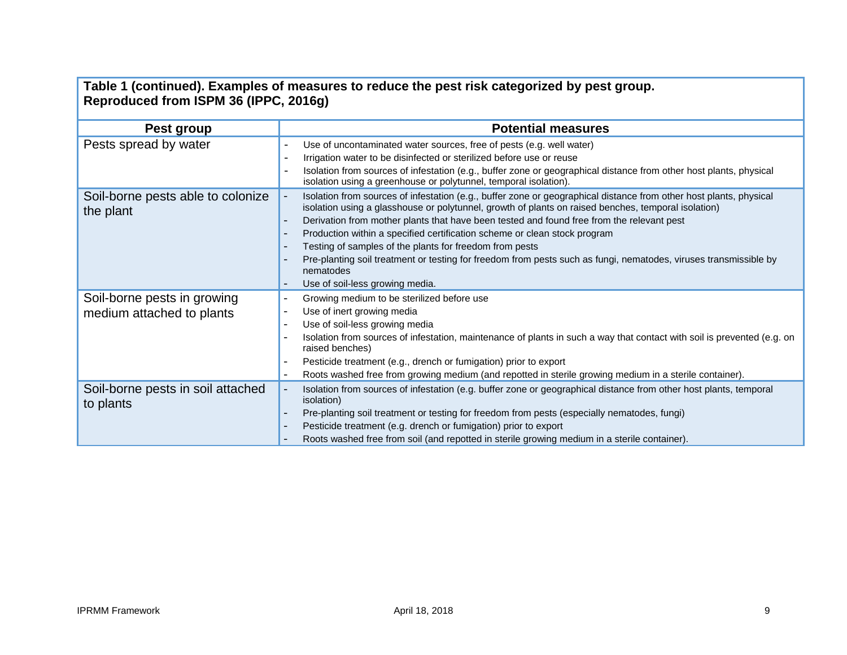| Table 1 (continued). Examples of measures to reduce the pest risk categorized by pest group.<br>Reproduced from ISPM 36 (IPPC, 2016g) |                                                                                                                                                                                                                                                                                                                                                                                                                                                                                                                                                                                                                                                                                  |  |  |
|---------------------------------------------------------------------------------------------------------------------------------------|----------------------------------------------------------------------------------------------------------------------------------------------------------------------------------------------------------------------------------------------------------------------------------------------------------------------------------------------------------------------------------------------------------------------------------------------------------------------------------------------------------------------------------------------------------------------------------------------------------------------------------------------------------------------------------|--|--|
| Pest group                                                                                                                            | <b>Potential measures</b>                                                                                                                                                                                                                                                                                                                                                                                                                                                                                                                                                                                                                                                        |  |  |
| Pests spread by water                                                                                                                 | Use of uncontaminated water sources, free of pests (e.g. well water)<br>Irrigation water to be disinfected or sterilized before use or reuse<br>Isolation from sources of infestation (e.g., buffer zone or geographical distance from other host plants, physical<br>Ĭ.<br>isolation using a greenhouse or polytunnel, temporal isolation).                                                                                                                                                                                                                                                                                                                                     |  |  |
| Soil-borne pests able to colonize<br>the plant                                                                                        | Isolation from sources of infestation (e.g., buffer zone or geographical distance from other host plants, physical<br>isolation using a glasshouse or polytunnel, growth of plants on raised benches, temporal isolation)<br>Derivation from mother plants that have been tested and found free from the relevant pest<br>Production within a specified certification scheme or clean stock program<br>$\overline{a}$<br>Testing of samples of the plants for freedom from pests<br>$\overline{\phantom{a}}$<br>Pre-planting soil treatment or testing for freedom from pests such as fungi, nematodes, viruses transmissible by<br>nematodes<br>Use of soil-less growing media. |  |  |
| Soil-borne pests in growing<br>medium attached to plants                                                                              | Growing medium to be sterilized before use<br>Use of inert growing media<br>$\overline{\phantom{a}}$<br>Use of soil-less growing media<br>$\overline{\phantom{a}}$<br>Isolation from sources of infestation, maintenance of plants in such a way that contact with soil is prevented (e.g. on<br>raised benches)<br>Pesticide treatment (e.g., drench or fumigation) prior to export<br>$\overline{\phantom{a}}$<br>Roots washed free from growing medium (and repotted in sterile growing medium in a sterile container).<br>$\overline{\phantom{a}}$                                                                                                                           |  |  |
| Soil-borne pests in soil attached<br>to plants                                                                                        | Isolation from sources of infestation (e.g. buffer zone or geographical distance from other host plants, temporal<br>isolation)<br>Pre-planting soil treatment or testing for freedom from pests (especially nematodes, fungi)<br>$\overline{\phantom{0}}$<br>Pesticide treatment (e.g. drench or fumigation) prior to export<br>Roots washed free from soil (and repotted in sterile growing medium in a sterile container).                                                                                                                                                                                                                                                    |  |  |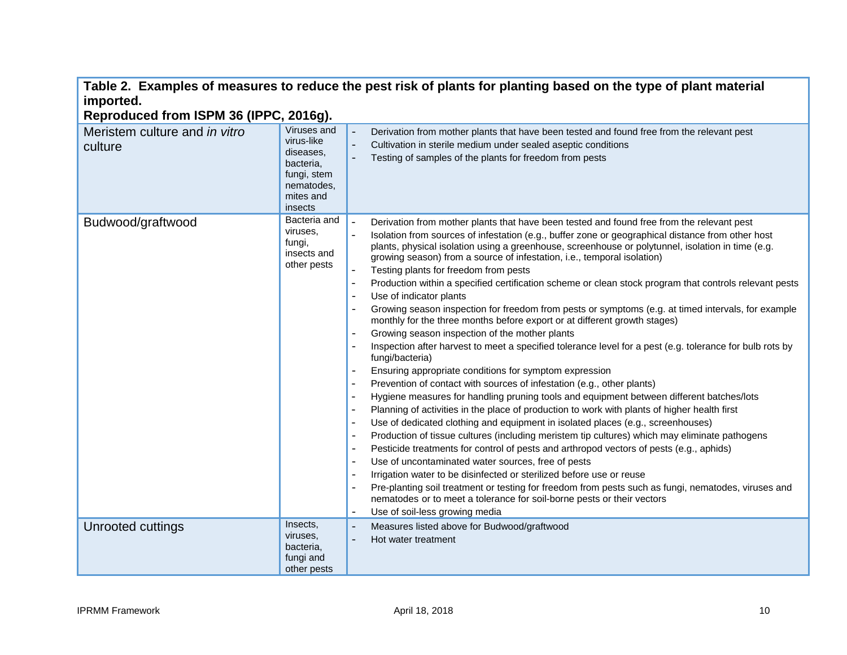| imported.<br>Reproduced from ISPM 36 (IPPC, 2016g). |                                                                                                          | Table 2.  Examples of measures to reduce the pest risk of plants for planting based on the type of plant material                                                                                                                                                                                                                                                                                                                                                                                                                                                                                                                                                                                                                                                                                                                                                                                                                                                                                                                                                                                                                                                                                                                                                                                                                                                                                                                                                                                                                                                                                                                                                                                                                                                                                                                                                                                                                                                                                                                                                                                                                                                                                                                                   |
|-----------------------------------------------------|----------------------------------------------------------------------------------------------------------|-----------------------------------------------------------------------------------------------------------------------------------------------------------------------------------------------------------------------------------------------------------------------------------------------------------------------------------------------------------------------------------------------------------------------------------------------------------------------------------------------------------------------------------------------------------------------------------------------------------------------------------------------------------------------------------------------------------------------------------------------------------------------------------------------------------------------------------------------------------------------------------------------------------------------------------------------------------------------------------------------------------------------------------------------------------------------------------------------------------------------------------------------------------------------------------------------------------------------------------------------------------------------------------------------------------------------------------------------------------------------------------------------------------------------------------------------------------------------------------------------------------------------------------------------------------------------------------------------------------------------------------------------------------------------------------------------------------------------------------------------------------------------------------------------------------------------------------------------------------------------------------------------------------------------------------------------------------------------------------------------------------------------------------------------------------------------------------------------------------------------------------------------------------------------------------------------------------------------------------------------------|
| Meristem culture and in vitro<br>culture            | Viruses and<br>virus-like<br>diseases.<br>bacteria,<br>fungi, stem<br>nematodes,<br>mites and<br>insects | Derivation from mother plants that have been tested and found free from the relevant pest<br>$\overline{\phantom{a}}$<br>Cultivation in sterile medium under sealed aseptic conditions<br>$\Box$<br>Testing of samples of the plants for freedom from pests<br>$\overline{\phantom{a}}$                                                                                                                                                                                                                                                                                                                                                                                                                                                                                                                                                                                                                                                                                                                                                                                                                                                                                                                                                                                                                                                                                                                                                                                                                                                                                                                                                                                                                                                                                                                                                                                                                                                                                                                                                                                                                                                                                                                                                             |
| Budwood/graftwood                                   | Bacteria and<br>viruses,<br>fungi,<br>insects and<br>other pests                                         | $\overline{a}$<br>Derivation from mother plants that have been tested and found free from the relevant pest<br>Isolation from sources of infestation (e.g., buffer zone or geographical distance from other host<br>$\overline{a}$<br>plants, physical isolation using a greenhouse, screenhouse or polytunnel, isolation in time (e.g.<br>growing season) from a source of infestation, i.e., temporal isolation)<br>Testing plants for freedom from pests<br>$\frac{1}{2}$<br>Production within a specified certification scheme or clean stock program that controls relevant pests<br>$\blacksquare$<br>Use of indicator plants<br>$\blacksquare$<br>Growing season inspection for freedom from pests or symptoms (e.g. at timed intervals, for example<br>$\blacksquare$<br>monthly for the three months before export or at different growth stages)<br>Growing season inspection of the mother plants<br>Inspection after harvest to meet a specified tolerance level for a pest (e.g. tolerance for bulb rots by<br>fungi/bacteria)<br>Ensuring appropriate conditions for symptom expression<br>Prevention of contact with sources of infestation (e.g., other plants)<br>Hygiene measures for handling pruning tools and equipment between different batches/lots<br>$\overline{\phantom{a}}$<br>Planning of activities in the place of production to work with plants of higher health first<br>$\overline{\phantom{a}}$<br>Use of dedicated clothing and equipment in isolated places (e.g., screenhouses)<br>$\blacksquare$<br>Production of tissue cultures (including meristem tip cultures) which may eliminate pathogens<br>$\overline{\phantom{a}}$<br>Pesticide treatments for control of pests and arthropod vectors of pests (e.g., aphids)<br>$\blacksquare$<br>Use of uncontaminated water sources, free of pests<br>$\overline{\phantom{a}}$<br>Irrigation water to be disinfected or sterilized before use or reuse<br>$\overline{\phantom{a}}$<br>Pre-planting soil treatment or testing for freedom from pests such as fungi, nematodes, viruses and<br>$\overline{\phantom{a}}$<br>nematodes or to meet a tolerance for soil-borne pests or their vectors<br>Use of soil-less growing media<br>$\overline{\phantom{a}}$ |
| Unrooted cuttings                                   | Insects,<br>viruses,<br>bacteria.<br>fungi and<br>other pests                                            | Measures listed above for Budwood/graftwood<br>$\overline{\phantom{a}}$<br>Hot water treatment<br>$\overline{\phantom{a}}$                                                                                                                                                                                                                                                                                                                                                                                                                                                                                                                                                                                                                                                                                                                                                                                                                                                                                                                                                                                                                                                                                                                                                                                                                                                                                                                                                                                                                                                                                                                                                                                                                                                                                                                                                                                                                                                                                                                                                                                                                                                                                                                          |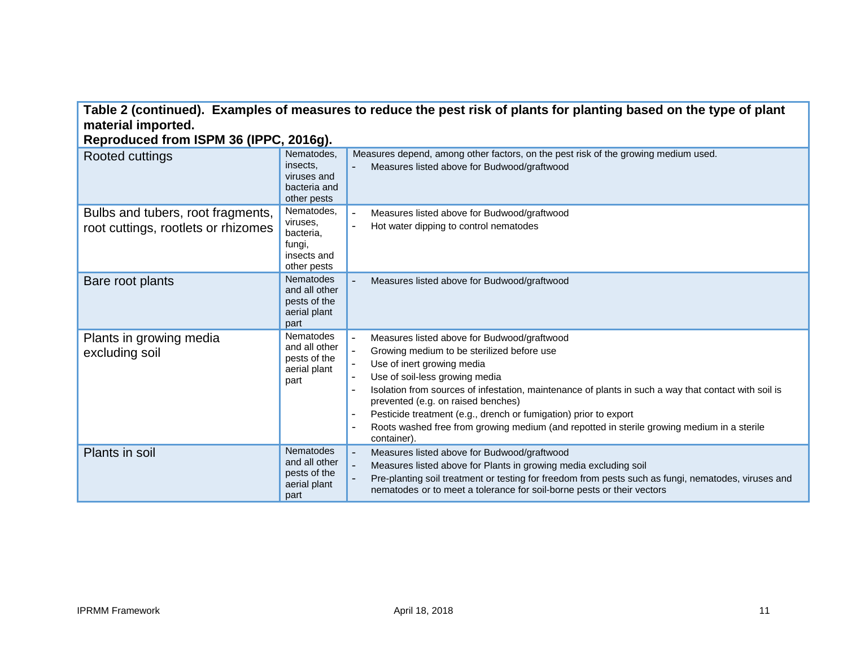### **Table 2 (continued). Examples of measures to reduce the pest risk of plants for planting based on the type of plant material imported.**

**Reproduced from ISPM 36 (IPPC, 2016g).**

| Rooted cuttings                                                          | Nematodes,<br>insects,<br>viruses and<br>bacteria and<br>other pests        | Measures depend, among other factors, on the pest risk of the growing medium used.<br>Measures listed above for Budwood/graftwood                                                                                                                                                                                                                                                                                                                                                                                                                                                                                  |
|--------------------------------------------------------------------------|-----------------------------------------------------------------------------|--------------------------------------------------------------------------------------------------------------------------------------------------------------------------------------------------------------------------------------------------------------------------------------------------------------------------------------------------------------------------------------------------------------------------------------------------------------------------------------------------------------------------------------------------------------------------------------------------------------------|
| Bulbs and tubers, root fragments,<br>root cuttings, rootlets or rhizomes | Nematodes,<br>viruses,<br>bacteria,<br>fungi,<br>insects and<br>other pests | Measures listed above for Budwood/graftwood<br>Hot water dipping to control nematodes<br>$\overline{a}$                                                                                                                                                                                                                                                                                                                                                                                                                                                                                                            |
| Bare root plants                                                         | <b>Nematodes</b><br>and all other<br>pests of the<br>aerial plant<br>part   | Measures listed above for Budwood/graftwood                                                                                                                                                                                                                                                                                                                                                                                                                                                                                                                                                                        |
| Plants in growing media<br>excluding soil                                | Nematodes<br>and all other<br>pests of the<br>aerial plant<br>part          | Measures listed above for Budwood/graftwood<br>$\overline{\phantom{a}}$<br>Growing medium to be sterilized before use<br>$\blacksquare$<br>Use of inert growing media<br>$\equiv$<br>Use of soil-less growing media<br>$\blacksquare$<br>Isolation from sources of infestation, maintenance of plants in such a way that contact with soil is<br>$\blacksquare$<br>prevented (e.g. on raised benches)<br>Pesticide treatment (e.g., drench or fumigation) prior to export<br>$\overline{\phantom{a}}$<br>Roots washed free from growing medium (and repotted in sterile growing medium in a sterile<br>container). |
| Plants in soil                                                           | <b>Nematodes</b><br>and all other<br>pests of the<br>aerial plant<br>part   | Measures listed above for Budwood/graftwood<br>$\overline{\phantom{0}}$<br>Measures listed above for Plants in growing media excluding soil<br>$\overline{a}$<br>Pre-planting soil treatment or testing for freedom from pests such as fungi, nematodes, viruses and<br>$\overline{\phantom{0}}$<br>nematodes or to meet a tolerance for soil-borne pests or their vectors                                                                                                                                                                                                                                         |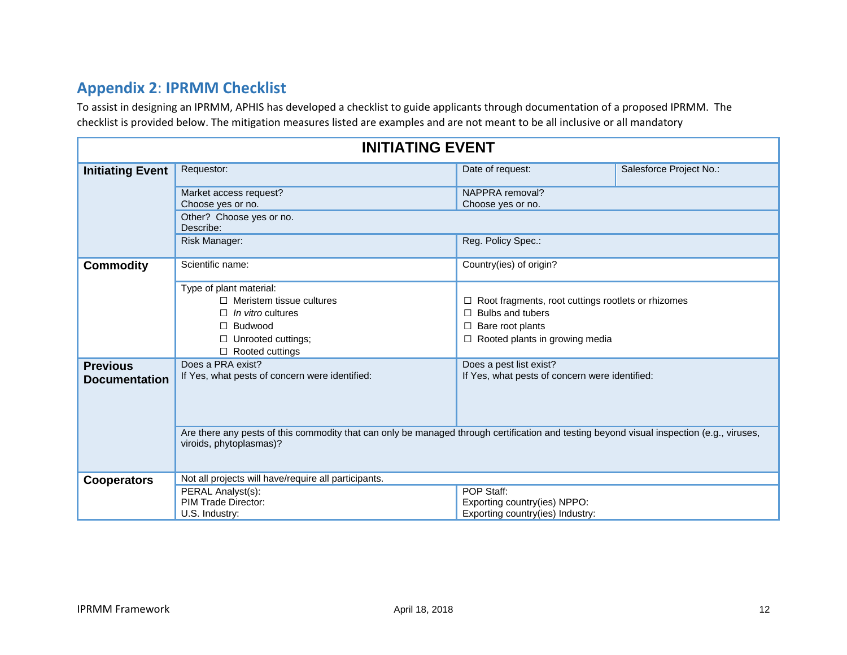# **Appendix 2**: **IPRMM Checklist**

To assist in designing an IPRMM, APHIS has developed a checklist to guide applicants through documentation of a proposed IPRMM. The checklist is provided below. The mitigation measures listed are examples and are not meant to be all inclusive or all mandatory

| <b>INITIATING EVENT</b>                 |                                                                                                                                                                      |                                                                                                                                            |                         |  |
|-----------------------------------------|----------------------------------------------------------------------------------------------------------------------------------------------------------------------|--------------------------------------------------------------------------------------------------------------------------------------------|-------------------------|--|
| <b>Initiating Event</b>                 | Requestor:                                                                                                                                                           | Date of request:                                                                                                                           | Salesforce Project No.: |  |
|                                         | Market access request?<br>Choose yes or no.                                                                                                                          | NAPPRA removal?<br>Choose yes or no.                                                                                                       |                         |  |
|                                         | Other? Choose yes or no.<br>Describe:                                                                                                                                |                                                                                                                                            |                         |  |
|                                         | Risk Manager:                                                                                                                                                        | Reg. Policy Spec.:                                                                                                                         |                         |  |
| <b>Commodity</b>                        | Scientific name:                                                                                                                                                     | Country(ies) of origin?                                                                                                                    |                         |  |
|                                         | Type of plant material:<br>$\Box$ Meristem tissue cultures<br><i>In vitro</i> cultures<br>Budwood<br>Unrooted cuttings;<br>□<br>Rooted cuttings<br>□                 | □ Root fragments, root cuttings rootlets or rhizomes<br>Bulbs and tubers<br>П<br>$\Box$ Bare root plants<br>Rooted plants in growing media |                         |  |
| <b>Previous</b><br><b>Documentation</b> | Does a PRA exist?<br>If Yes, what pests of concern were identified:                                                                                                  | Does a pest list exist?<br>If Yes, what pests of concern were identified:                                                                  |                         |  |
|                                         | Are there any pests of this commodity that can only be managed through certification and testing beyond visual inspection (e.g., viruses,<br>viroids, phytoplasmas)? |                                                                                                                                            |                         |  |
| <b>Cooperators</b>                      | Not all projects will have/require all participants.                                                                                                                 |                                                                                                                                            |                         |  |
|                                         | PERAL Analyst(s):                                                                                                                                                    | POP Staff:                                                                                                                                 |                         |  |
|                                         | <b>PIM Trade Director:</b><br>U.S. Industry:                                                                                                                         | Exporting country(ies) NPPO:<br>Exporting country(ies) Industry:                                                                           |                         |  |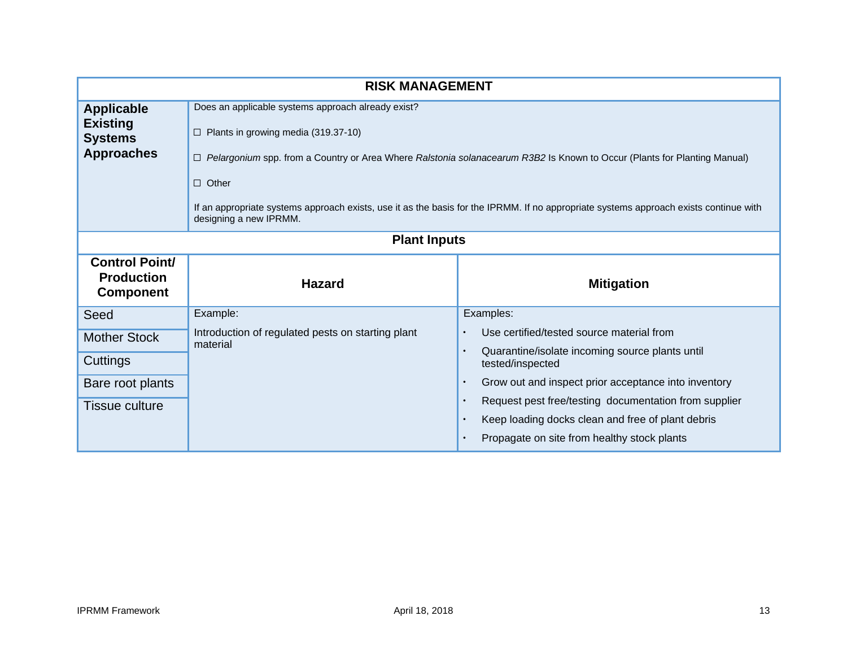| <b>RISK MANAGEMENT</b>                                                      |                                                                                                                                                                                                                                                                                                                                                                                                                   |                                                                                                  |  |
|-----------------------------------------------------------------------------|-------------------------------------------------------------------------------------------------------------------------------------------------------------------------------------------------------------------------------------------------------------------------------------------------------------------------------------------------------------------------------------------------------------------|--------------------------------------------------------------------------------------------------|--|
| <b>Applicable</b><br><b>Existing</b><br><b>Systems</b><br><b>Approaches</b> | Does an applicable systems approach already exist?<br>$\Box$ Plants in growing media (319.37-10)<br>□ Pelargonium spp. from a Country or Area Where Ralstonia solanacearum R3B2 Is Known to Occur (Plants for Planting Manual)<br>$\Box$ Other<br>If an appropriate systems approach exists, use it as the basis for the IPRMM. If no appropriate systems approach exists continue with<br>designing a new IPRMM. |                                                                                                  |  |
| <b>Plant Inputs</b>                                                         |                                                                                                                                                                                                                                                                                                                                                                                                                   |                                                                                                  |  |
| <b>Control Point/</b><br><b>Production</b><br><b>Component</b>              | <b>Hazard</b>                                                                                                                                                                                                                                                                                                                                                                                                     | <b>Mitigation</b>                                                                                |  |
| Seed                                                                        | Example:                                                                                                                                                                                                                                                                                                                                                                                                          | Examples:                                                                                        |  |
| <b>Mother Stock</b>                                                         | Introduction of regulated pests on starting plant<br>material                                                                                                                                                                                                                                                                                                                                                     | Use certified/tested source material from                                                        |  |
| Cuttings                                                                    |                                                                                                                                                                                                                                                                                                                                                                                                                   | Quarantine/isolate incoming source plants until<br>tested/inspected                              |  |
| Bare root plants                                                            |                                                                                                                                                                                                                                                                                                                                                                                                                   | Grow out and inspect prior acceptance into inventory                                             |  |
| <b>Tissue culture</b>                                                       |                                                                                                                                                                                                                                                                                                                                                                                                                   | Request pest free/testing documentation from supplier                                            |  |
|                                                                             |                                                                                                                                                                                                                                                                                                                                                                                                                   | Keep loading docks clean and free of plant debris<br>Propagate on site from healthy stock plants |  |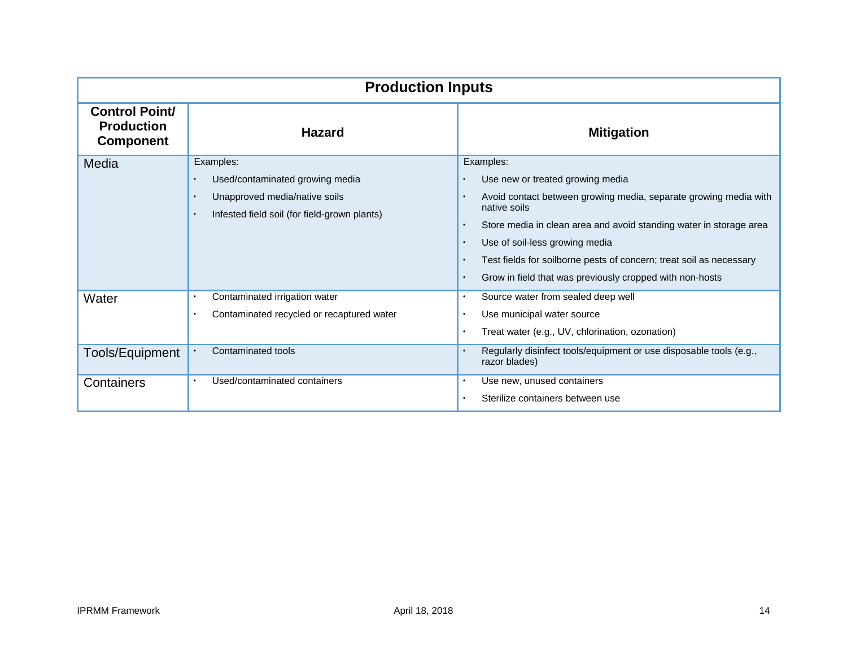| <b>Production Inputs</b>                                       |                                                                                                                                                         |                                                                                                                                                                                                                                                                                                                                                                                                                                  |  |
|----------------------------------------------------------------|---------------------------------------------------------------------------------------------------------------------------------------------------------|----------------------------------------------------------------------------------------------------------------------------------------------------------------------------------------------------------------------------------------------------------------------------------------------------------------------------------------------------------------------------------------------------------------------------------|--|
| <b>Control Point/</b><br><b>Production</b><br><b>Component</b> | <b>Hazard</b>                                                                                                                                           | <b>Mitigation</b>                                                                                                                                                                                                                                                                                                                                                                                                                |  |
| Media                                                          | Examples:<br>Used/contaminated growing media<br>Unapproved media/native soils<br>$\bullet$<br>Infested field soil (for field-grown plants)<br>$\bullet$ | Examples:<br>Use new or treated growing media<br>Avoid contact between growing media, separate growing media with<br>$\bullet$<br>native soils<br>Store media in clean area and avoid standing water in storage area<br>$\bullet$<br>Use of soil-less growing media<br>$\bullet$<br>Test fields for soilborne pests of concern; treat soil as necessary<br>Grow in field that was previously cropped with non-hosts<br>$\bullet$ |  |
| Water<br>Tools/Equipment                                       | Contaminated irrigation water<br>$\bullet$<br>Contaminated recycled or recaptured water<br>$\bullet$<br>Contaminated tools                              | Source water from sealed deep well<br>$\bullet$<br>Use municipal water source<br>$\bullet$<br>Treat water (e.g., UV, chlorination, ozonation)<br>Regularly disinfect tools/equipment or use disposable tools (e.g.,<br>$\bullet$                                                                                                                                                                                                 |  |
| Containers                                                     | Used/contaminated containers<br>$\bullet$                                                                                                               | razor blades)<br>Use new, unused containers<br>$\bullet$<br>Sterilize containers between use                                                                                                                                                                                                                                                                                                                                     |  |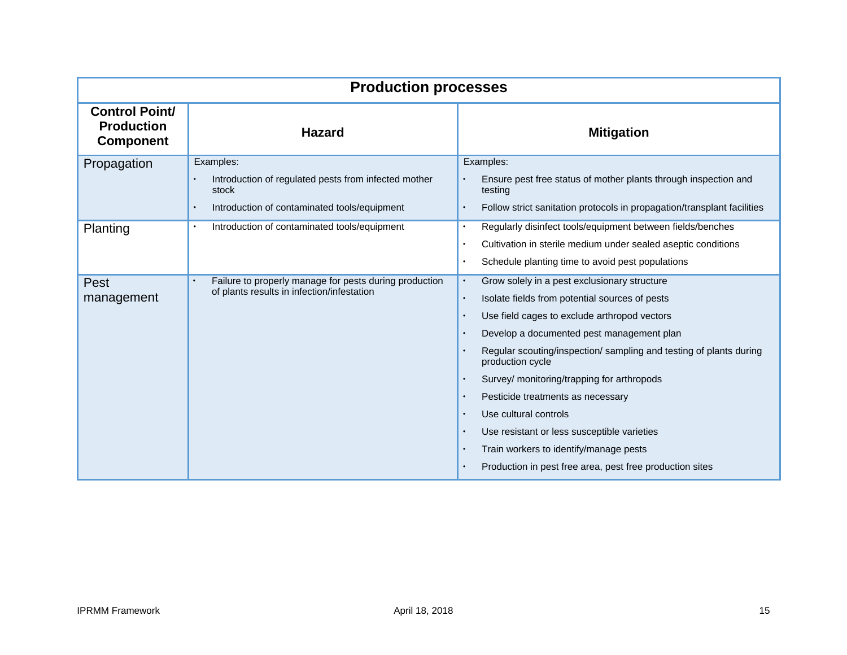| <b>Production processes</b>                                    |                                                                     |                                                                                        |  |
|----------------------------------------------------------------|---------------------------------------------------------------------|----------------------------------------------------------------------------------------|--|
| <b>Control Point/</b><br><b>Production</b><br><b>Component</b> | <b>Hazard</b>                                                       | <b>Mitigation</b>                                                                      |  |
| Propagation                                                    | Examples:                                                           | Examples:                                                                              |  |
|                                                                | Introduction of regulated pests from infected mother<br>stock       | Ensure pest free status of mother plants through inspection and<br>testing             |  |
|                                                                | Introduction of contaminated tools/equipment<br>$\bullet$           | Follow strict sanitation protocols in propagation/transplant facilities                |  |
| Planting                                                       | Introduction of contaminated tools/equipment<br>$\bullet$           | Regularly disinfect tools/equipment between fields/benches<br>$\bullet$                |  |
|                                                                |                                                                     | Cultivation in sterile medium under sealed aseptic conditions                          |  |
|                                                                |                                                                     | Schedule planting time to avoid pest populations                                       |  |
| Pest                                                           | Failure to properly manage for pests during production<br>$\bullet$ | Grow solely in a pest exclusionary structure<br>$\bullet$                              |  |
| management                                                     | of plants results in infection/infestation                          | Isolate fields from potential sources of pests<br>$\bullet$                            |  |
|                                                                |                                                                     | Use field cages to exclude arthropod vectors                                           |  |
|                                                                |                                                                     | Develop a documented pest management plan<br>$\bullet$                                 |  |
|                                                                |                                                                     | Regular scouting/inspection/ sampling and testing of plants during<br>production cycle |  |
|                                                                |                                                                     | Survey/ monitoring/trapping for arthropods<br>$\bullet$                                |  |
|                                                                |                                                                     | Pesticide treatments as necessary                                                      |  |
|                                                                |                                                                     | Use cultural controls<br>$\bullet$                                                     |  |
|                                                                |                                                                     | Use resistant or less susceptible varieties<br>$\bullet$                               |  |
|                                                                |                                                                     | Train workers to identify/manage pests                                                 |  |
|                                                                |                                                                     | Production in pest free area, pest free production sites                               |  |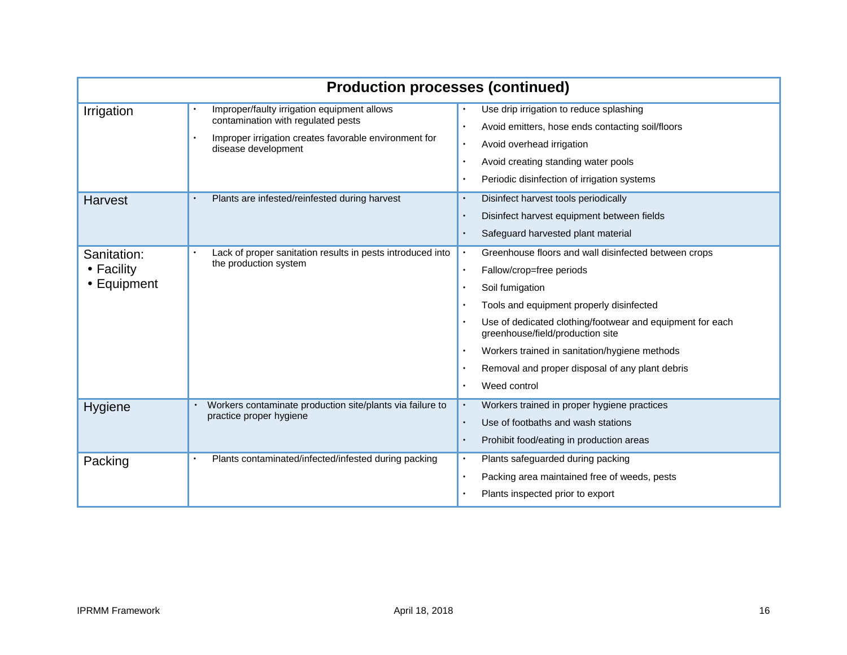| <b>Production processes (continued)</b>  |                                                                                                                                                                   |                                                                                                                                                                                                                                                                                                                                                                                   |
|------------------------------------------|-------------------------------------------------------------------------------------------------------------------------------------------------------------------|-----------------------------------------------------------------------------------------------------------------------------------------------------------------------------------------------------------------------------------------------------------------------------------------------------------------------------------------------------------------------------------|
| Irrigation                               | Improper/faulty irrigation equipment allows<br>contamination with regulated pests<br>Improper irrigation creates favorable environment for<br>disease development | Use drip irrigation to reduce splashing<br>Avoid emitters, hose ends contacting soil/floors<br>Avoid overhead irrigation<br>$\bullet$<br>Avoid creating standing water pools<br>$\bullet$<br>Periodic disinfection of irrigation systems                                                                                                                                          |
| <b>Harvest</b>                           | Plants are infested/reinfested during harvest                                                                                                                     | Disinfect harvest tools periodically<br>Disinfect harvest equipment between fields<br>Safeguard harvested plant material                                                                                                                                                                                                                                                          |
| Sanitation:<br>• Facility<br>• Equipment | Lack of proper sanitation results in pests introduced into<br>the production system                                                                               | Greenhouse floors and wall disinfected between crops<br>Fallow/crop=free periods<br>$\bullet$<br>Soil fumigation<br>Tools and equipment properly disinfected<br>Use of dedicated clothing/footwear and equipment for each<br>greenhouse/field/production site<br>Workers trained in sanitation/hygiene methods<br>Removal and proper disposal of any plant debris<br>Weed control |
| Hygiene                                  | Workers contaminate production site/plants via failure to<br>practice proper hygiene                                                                              | Workers trained in proper hygiene practices<br>$\bullet$<br>Use of footbaths and wash stations<br>$\bullet$<br>Prohibit food/eating in production areas<br>$\bullet$                                                                                                                                                                                                              |
| Packing                                  | Plants contaminated/infected/infested during packing<br>$\bullet$                                                                                                 | Plants safeguarded during packing<br>$\bullet$<br>Packing area maintained free of weeds, pests<br>Plants inspected prior to export                                                                                                                                                                                                                                                |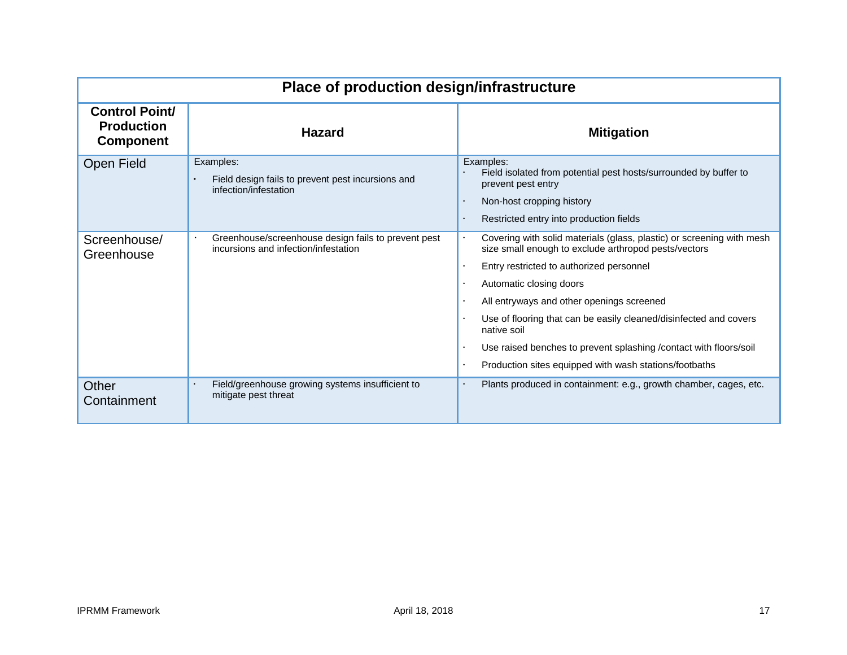| Place of production design/infrastructure                      |                                                                                                      |                                                                                                                                                                                                                                                                                                                                                                                                                                                                       |  |
|----------------------------------------------------------------|------------------------------------------------------------------------------------------------------|-----------------------------------------------------------------------------------------------------------------------------------------------------------------------------------------------------------------------------------------------------------------------------------------------------------------------------------------------------------------------------------------------------------------------------------------------------------------------|--|
| <b>Control Point/</b><br><b>Production</b><br><b>Component</b> | <b>Hazard</b>                                                                                        | <b>Mitigation</b>                                                                                                                                                                                                                                                                                                                                                                                                                                                     |  |
| Open Field                                                     | Examples:<br>Field design fails to prevent pest incursions and<br>$\bullet$<br>infection/infestation | Examples:<br>Field isolated from potential pest hosts/surrounded by buffer to<br>prevent pest entry<br>Non-host cropping history<br>Restricted entry into production fields                                                                                                                                                                                                                                                                                           |  |
| Screenhouse/<br>Greenhouse                                     | Greenhouse/screenhouse design fails to prevent pest<br>incursions and infection/infestation          | Covering with solid materials (glass, plastic) or screening with mesh<br>size small enough to exclude arthropod pests/vectors<br>Entry restricted to authorized personnel<br>Automatic closing doors<br>All entryways and other openings screened<br>Use of flooring that can be easily cleaned/disinfected and covers<br>native soil<br>Use raised benches to prevent splashing / contact with floors/soil<br>Production sites equipped with wash stations/footbaths |  |
| Other<br>Containment                                           | Field/greenhouse growing systems insufficient to<br>$\bullet$<br>mitigate pest threat                | Plants produced in containment: e.g., growth chamber, cages, etc.                                                                                                                                                                                                                                                                                                                                                                                                     |  |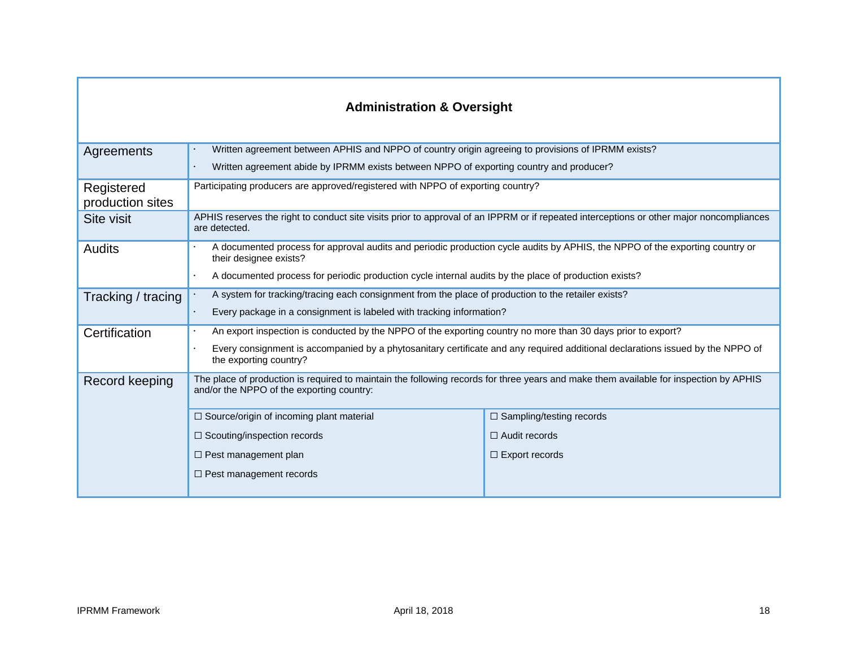| <b>Administration &amp; Oversight</b> |                                                                                                                                                                                    |                                 |  |
|---------------------------------------|------------------------------------------------------------------------------------------------------------------------------------------------------------------------------------|---------------------------------|--|
| Agreements                            | Written agreement between APHIS and NPPO of country origin agreeing to provisions of IPRMM exists?                                                                                 |                                 |  |
|                                       | Written agreement abide by IPRMM exists between NPPO of exporting country and producer?                                                                                            |                                 |  |
| Registered<br>production sites        | Participating producers are approved/registered with NPPO of exporting country?                                                                                                    |                                 |  |
| Site visit                            | APHIS reserves the right to conduct site visits prior to approval of an IPPRM or if repeated interceptions or other major noncompliances<br>are detected.                          |                                 |  |
| <b>Audits</b>                         | A documented process for approval audits and periodic production cycle audits by APHIS, the NPPO of the exporting country or<br>their designee exists?                             |                                 |  |
|                                       | A documented process for periodic production cycle internal audits by the place of production exists?                                                                              |                                 |  |
| Tracking / tracing                    | A system for tracking/tracing each consignment from the place of production to the retailer exists?                                                                                |                                 |  |
|                                       | Every package in a consignment is labeled with tracking information?                                                                                                               |                                 |  |
| Certification                         | An export inspection is conducted by the NPPO of the exporting country no more than 30 days prior to export?                                                                       |                                 |  |
|                                       | Every consignment is accompanied by a phytosanitary certificate and any required additional declarations issued by the NPPO of<br>the exporting country?                           |                                 |  |
| Record keeping                        | The place of production is required to maintain the following records for three years and make them available for inspection by APHIS<br>and/or the NPPO of the exporting country: |                                 |  |
|                                       | $\Box$ Source/origin of incoming plant material                                                                                                                                    | $\Box$ Sampling/testing records |  |
|                                       | $\Box$ Scouting/inspection records                                                                                                                                                 | $\Box$ Audit records            |  |
|                                       | $\Box$ Pest management plan                                                                                                                                                        | $\Box$ Export records           |  |
|                                       | $\Box$ Pest management records                                                                                                                                                     |                                 |  |